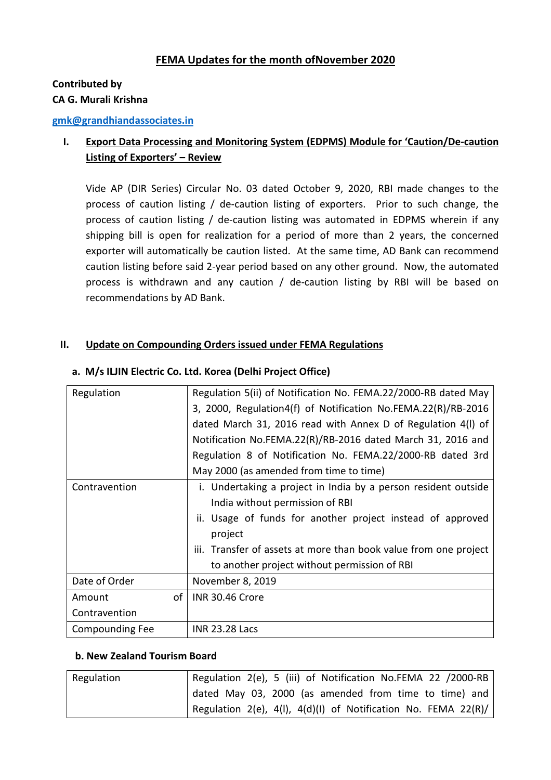# **FEMA Updates for the month ofNovember 2020**

# **Contributed by CA G. Murali Krishna**

### **gmk@grandhiandassociates.in**

# **I. Export Data Processing and Monitoring System (EDPMS) Module for 'Caution/De-caution Listing of Exporters' – Review**

Vide AP (DIR Series) Circular No. 03 dated October 9, 2020, RBI made changes to the process of caution listing / de-caution listing of exporters. Prior to such change, the process of caution listing / de-caution listing was automated in EDPMS wherein if any shipping bill is open for realization for a period of more than 2 years, the concerned exporter will automatically be caution listed. At the same time, AD Bank can recommend caution listing before said 2-year period based on any other ground. Now, the automated process is withdrawn and any caution / de-caution listing by RBI will be based on recommendations by AD Bank.

### **II. Update on Compounding Orders issued under FEMA Regulations**

| Regulation             | Regulation 5(ii) of Notification No. FEMA.22/2000-RB dated May   |
|------------------------|------------------------------------------------------------------|
|                        | 3, 2000, Regulation4(f) of Notification No.FEMA.22(R)/RB-2016    |
|                        | dated March 31, 2016 read with Annex D of Regulation 4(I) of     |
|                        | Notification No.FEMA.22(R)/RB-2016 dated March 31, 2016 and      |
|                        | Regulation 8 of Notification No. FEMA.22/2000-RB dated 3rd       |
|                        | May 2000 (as amended from time to time)                          |
| Contravention          | i. Undertaking a project in India by a person resident outside   |
|                        | India without permission of RBI                                  |
|                        | ii. Usage of funds for another project instead of approved       |
|                        | project                                                          |
|                        | iii. Transfer of assets at more than book value from one project |
|                        | to another project without permission of RBI                     |
| Date of Order          | November 8, 2019                                                 |
| of<br>Amount           | INR 30.46 Crore                                                  |
| Contravention          |                                                                  |
| <b>Compounding Fee</b> | <b>INR 23.28 Lacs</b>                                            |

### **a. M/s ILJIN Electric Co. Ltd. Korea (Delhi Project Office)**

### **b. New Zealand Tourism Board**

| Regulation | Regulation 2(e), 5 (iii) of Notification No.FEMA 22 /2000-RB   |
|------------|----------------------------------------------------------------|
|            | dated May 03, 2000 (as amended from time to time) and          |
|            | Regulation 2(e), 4(l), 4(d)(l) of Notification No. FEMA 22(R)/ |